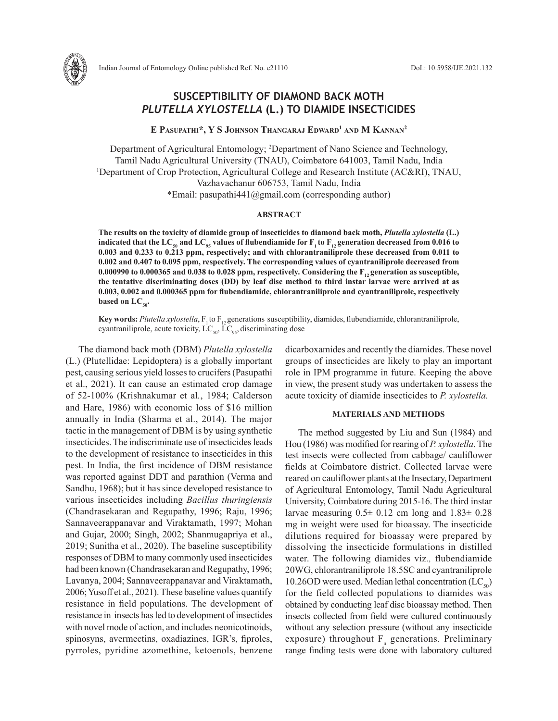

# **SUSCEPTIBILITY OF DIAMOND BACK MOTH**  *PLUTELLA XYLOSTELLA* **(L.) TO DIAMIDE INSECTICIDES**

**E Pasupathi\*, Y S Johnson Thangaraj Edward1 and M Kannan2**

Department of Agricultural Entomology; 2 Department of Nano Science and Technology, Tamil Nadu Agricultural University (TNAU), Coimbatore 641003, Tamil Nadu, India 1 <sup>1</sup>Department of Crop Protection, Agricultural College and Research Institute (AC&RI), TNAU, Vazhavachanur 606753, Tamil Nadu, India \*Email: pasupathi441@gmail.com (corresponding author)

## **ABSTRACT**

**The results on the toxicity of diamide group of insecticides to diamond back moth,** *Plutella xylostella* **(L.) indicated that the LC<sub>50</sub> and LC<sub>95</sub>** values of flubendiamide for  $F_1$  to  $F_1$  generation decreased from 0.016 to **0.003 and 0.233 to 0.213 ppm, respectively; and with chlorantraniliprole these decreased from 0.011 to 0.002 and 0.407 to 0.095 ppm, respectively. The corresponding values of cyantraniliprole decreased from**  0.000990 to 0.000365 and 0.038 to 0.028 ppm, respectively. Considering the F<sub>12</sub> generation as susceptible, **the tentative discriminating doses (DD) by leaf disc method to third instar larvae were arrived at as 0.003, 0.002 and 0.000365 ppm for flubendiamide, chlorantraniliprole and cyantraniliprole, respectively**  based on  $LC_{\text{so}}$ .

**Key words:** *Plutella xylostella*,  $F_1$  to  $F_{12}$  generations susceptibility, diamides, flubendiamide, chlorantraniliprole, cyantraniliprole, acute toxicity,  $LC_{50}$ ,  $LC_{95}$ , discriminating dose

The diamond back moth (DBM) *Plutella xylostella* (L.) (Plutellidae: Lepidoptera) is a globally important pest, causing serious yield losses to crucifers (Pasupathi et al., 2021). It can cause an estimated crop damage of 52-100% (Krishnakumar et al*.*, 1984; Calderson and Hare, 1986) with economic loss of \$16 million annually in India (Sharma et al., 2014). The major tactic in the management of DBM is by using synthetic insecticides. The indiscriminate use of insecticides leads to the development of resistance to insecticides in this pest. In India, the first incidence of DBM resistance was reported against DDT and parathion (Verma and Sandhu, 1968); but it has since developed resistance to various insecticides including *Bacillus thuringiensis* (Chandrasekaran and Regupathy, 1996; Raju, 1996; Sannaveerappanavar and Viraktamath, 1997; Mohan and Gujar, 2000; Singh, 2002; Shanmugapriya et al., 2019; Sunitha et al., 2020). The baseline susceptibility responses of DBM to many commonly used insecticides had been known (Chandrasekaran and Regupathy, 1996; Lavanya, 2004; Sannaveerappanavar and Viraktamath, 2006; Yusoff et al., 2021). These baseline values quantify resistance in field populations. The development of resistance in insects has led to development of insectides with novel mode of action, and includes neonicotinoids, spinosyns, avermectins, oxadiazines, IGR's, fiproles, pyrroles, pyridine azomethine, ketoenols, benzene

dicarboxamides and recently the diamides. These novel groups of insecticides are likely to play an important role in IPM programme in future. Keeping the above in view, the present study was undertaken to assess the acute toxicity of diamide insecticides to *P. xylostella.*

### **MATERIALS AND METHODS**

The method suggested by Liu and Sun (1984) and Hou (1986) was modified for rearing of *P. xylostella*. The test insects were collected from cabbage/ cauliflower fields at Coimbatore district. Collected larvae were reared on cauliflower plants at the Insectary, Department of Agricultural Entomology, Tamil Nadu Agricultural University, Coimbatore during 2015-16. The third instar larvae measuring  $0.5\pm 0.12$  cm long and  $1.83\pm 0.28$ mg in weight were used for bioassay. The insecticide dilutions required for bioassay were prepared by dissolving the insecticide formulations in distilled water. The following diamides viz*.,* flubendiamide 20WG, chlorantraniliprole 18.5SC and cyantraniliprole 10.26OD were used. Median lethal concentration  $(LC_{50})$ for the field collected populations to diamides was obtained by conducting leaf disc bioassay method. Then insects collected from field were cultured continuously without any selection pressure (without any insecticide exposure) throughout  $F_n$  generations. Preliminary range finding tests were done with laboratory cultured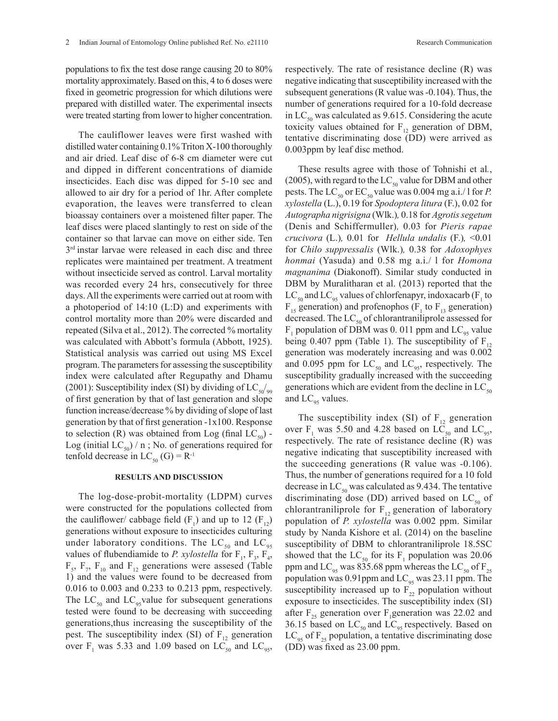populations to fix the test dose range causing 20 to 80% mortality approximately. Based on this, 4 to 6 doses were fixed in geometric progression for which dilutions were prepared with distilled water. The experimental insects were treated starting from lower to higher concentration.

The cauliflower leaves were first washed with distilled water containing 0.1% Triton X-100 thoroughly and air dried. Leaf disc of 6-8 cm diameter were cut and dipped in different concentrations of diamide insecticides. Each disc was dipped for 5-10 sec and allowed to air dry for a period of 1hr. After complete evaporation, the leaves were transferred to clean bioassay containers over a moistened filter paper. The leaf discs were placed slantingly to rest on side of the container so that larvae can move on either side. Ten 3<sup>rd</sup> instar larvae were released in each disc and three replicates were maintained per treatment. A treatment without insecticide served as control. Larval mortality was recorded every 24 hrs, consecutively for three days. All the experiments were carried out at room with a photoperiod of 14:10 (L:D) and experiments with control mortality more than 20% were discarded and repeated (Silva et al., 2012). The corrected % mortality was calculated with Abbott's formula (Abbott, 1925). Statistical analysis was carried out using MS Excel program. The parameters for assessing the susceptibility index were calculated after Regupathy and Dhamu (2001): Susceptibility index (SI) by dividing of  $LC_{50/99}$ of first generation by that of last generation and slope function increase/decrease % by dividing of slope of last generation by that of first generation -1x100. Response to selection (R) was obtained from Log (final  $LC_{50}$ ) -Log (initial LC<sub>50</sub>) / n; No. of generations required for tenfold decrease in  $LC_{50}$  (G) = R<sup>-1</sup>

#### **RESULTS AND DISCUSSION**

The log-dose-probit-mortality (LDPM) curves were constructed for the populations collected from the cauliflower/ cabbage field  $(F_1)$  and up to 12  $(F_{12})$ generations without exposure to insecticides culturing under laboratory conditions. The  $LC_{50}$  and  $LC_{95}$ values of flubendiamide to *P. xylostella* for  $F_1$ ,  $F_3$ ,  $F_4$ ,  $F_5$ ,  $F_7$ ,  $F_{10}$  and  $F_{12}$  generations were assessed (Table 1) and the values were found to be decreased from 0.016 to 0.003 and 0.233 to 0.213 ppm, respectively. The  $LC_{50}$  and  $LC_{95}$ value for subsequent generations tested were found to be decreasing with succeeding generations,thus increasing the susceptibility of the pest. The susceptibility index (SI) of  $F_{12}$  generation over  $F_1$  was 5.33 and 1.09 based on LC<sub>50</sub> and LC<sub>95</sub>, respectively. The rate of resistance decline (R) was negative indicating that susceptibility increased with the subsequent generations (R value was -0.104). Thus, the number of generations required for a 10-fold decrease in  $LC_{50}$  was calculated as 9.615. Considering the acute toxicity values obtained for  $F_{12}$  generation of DBM, tentative discriminating dose (DD) were arrived as 0.003ppm by leaf disc method.

These results agree with those of Tohnishi et al*.*, (2005), with regard to the  $LC_{50}$  value for DBM and other pests. The LC<sub>50</sub> or EC<sub>50</sub> value was 0.004 mg a.i./ l for *P*. *xylostella* (L.), 0.19 for *Spodoptera litura* (F.), 0.02 for *Autographa nigrisigna* (Wlk.)*,* 0.18 for *Agrotis segetum*  (Denis and Schiffermuller)*,* 0.03 for *Pieris rapae crucivora* (L.)*,* 0.01 for *Hellula undalis* (F.)*,* <0.01 for *Chilo suppressalis* (Wlk.)*,* 0.38 for *Adoxophyes honmai* (Yasuda) and 0.58 mg a.i./ l for *Homona magnanima* (Diakonoff). Similar study conducted in DBM by Muralitharan et al. (2013) reported that the  $LC_{50}$  and  $LC_{95}$  values of chlorfenapyr, indoxacarb (F<sub>1</sub> to  $F_{15}$  generation) and profenophos ( $F_1$  to  $F_{13}$  generation) decreased. The  $LC_{50}$  of chlorantraniliprole assessed for  $F_1$  population of DBM was 0. 011 ppm and  $LC_{95}$  value being 0.407 ppm (Table 1). The susceptibility of  $F_{12}$ generation was moderately increasing and was 0.002 and 0.095 ppm for  $LC_{50}$  and  $LC_{95}$ , respectively. The susceptibility gradually increased with the succeeding generations which are evident from the decline in  $LC_{50}$ and  $LC_{95}$  values.

The susceptibility index (SI) of  $F_{12}$  generation over  $F_1$  was 5.50 and 4.28 based on LC<sub>50</sub> and LC<sub>95</sub>, respectively. The rate of resistance decline (R) was negative indicating that susceptibility increased with the succeeding generations (R value was -0.106). Thus, the number of generations required for a 10 fold decrease in  $LC_{50}$  was calculated as 9.434. The tentative discriminating dose (DD) arrived based on  $LC_{50}$  of chlorantraniliprole for  $F_{12}$  generation of laboratory population of *P. xylostella* was 0.002 ppm. Similar study by Nanda Kishore et al. (2014) on the baseline susceptibility of DBM to chlorantraniliprole 18.5SC showed that the  $LC_{50}$  for its  $F_1$  population was 20.06 ppm and  $LC_{.95}$  was 835.68 ppm whereas the  $LC_{.50}$  of F<sub>25</sub> population was 0.91ppm and  $LC_{95}$  was 23.11 ppm. The susceptibility increased up to  $F_{22}$  population without exposure to insecticides. The susceptibility index (SI) after  $F_{25}$  generation over F<sub>1</sub> generation was 22.02 and 36.15 based on  $LC_{50}$  and  $LC_{95}$  respectively. Based on  $LC_{\alpha5}$  of  $F_{25}$  population, a tentative discriminating dose (DD) was fixed as 23.00 ppm.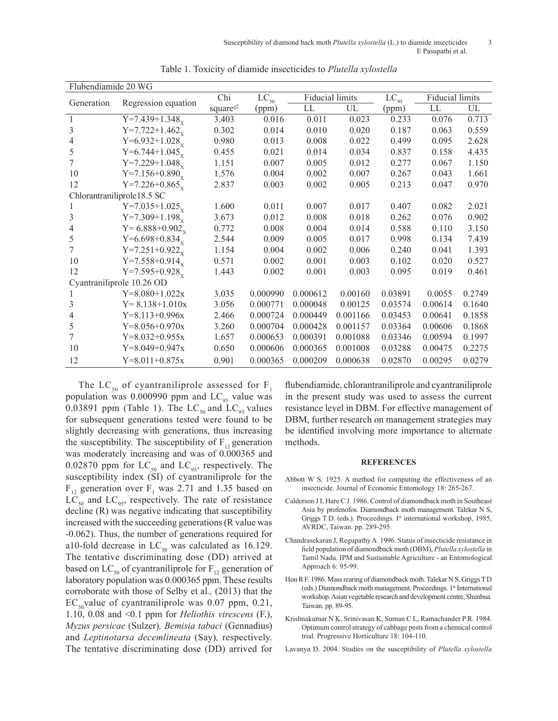| Flubendiamide 20 WG        |                              |                                    |                      |          |                        |                               |                        |        |
|----------------------------|------------------------------|------------------------------------|----------------------|----------|------------------------|-------------------------------|------------------------|--------|
| Generation                 | Regression equation          | Chi                                | $\overline{LC}_{50}$ |          | <b>Fiducial limits</b> |                               | <b>Fiducial limits</b> |        |
|                            |                              | square <sup><math>x^2</math></sup> | (ppm)                | LL       | UL                     | $\overline{LC}_{95}$<br>(ppm) | LL                     | UL     |
| 1                          | $Y=7.439+1.348x$             | 3.403                              | 0.016                | 0.011    | 0.023                  | 0.233                         | 0.076                  | 0.713  |
| 3                          | $Y=7.722+1.462$ <sub>x</sub> | 0.302                              | 0.014                | 0.010    | 0.020                  | 0.187                         | 0.063                  | 0.559  |
| 4                          | Y=6.932+1.028 <sub>x</sub>   | 0.980                              | 0.013                | 0.008    | 0.022                  | 0.499                         | 0.095                  | 2.628  |
| 5                          | Y=6.744+1.045 $_{\rm x}$     | 0.455                              | 0.021                | 0.014    | 0.034                  | 0.837                         | 0.158                  | 4.435  |
| 7                          | $Y=7.229+1.048_x$            | 1.151                              | 0.007                | 0.005    | 0.012                  | 0.277                         | 0.067                  | 1.150  |
| 10                         | $Y=7.156+0.890_y$            | 1.576                              | 0.004                | 0.002    | 0.007                  | 0.267                         | 0.043                  | 1.661  |
| 12                         | $Y=7.226+0.865$ <sub>y</sub> | 2.837                              | 0.003                | 0.002    | 0.005                  | 0.213                         | 0.047                  | 0.970  |
| Chlorantraniliprole18.5 SC |                              |                                    |                      |          |                        |                               |                        |        |
| 1                          | $Y=7.035+1.025_{y}$          | 1.600                              | 0.011                | 0.007    | 0.017                  | 0.407                         | 0.082                  | 2.021  |
| 3                          | $Y=7.309+1.198x$             | 3.673                              | 0.012                | 0.008    | 0.018                  | 0.262                         | 0.076                  | 0.902  |
| 4                          | Y = $6.888 + 0.902_x$        | 0.772                              | 0.008                | 0.004    | 0.014                  | 0.588                         | 0.110                  | 3.150  |
| 5                          | Y=6.698+0.834 $_{\rm x}$     | 2.544                              | 0.009                | 0.005    | 0.017                  | 0.998                         | 0.134                  | 7.439  |
| 7                          | $Y=7.251+0.922_x$            | 1.154                              | 0.004                | 0.002    | 0.006                  | 0.240                         | 0.041                  | 1.393  |
| 10                         | $Y=7.558+0.914_{y}$          | 0.571                              | 0.002                | 0.001    | 0.003                  | 0.102                         | 0.020                  | 0.527  |
| 12                         | $Y=7.595+0.928_{y}$          | 1.443                              | 0.002                | 0.001    | 0.003                  | 0.095                         | 0.019                  | 0.461  |
| Cyantraniliprole 10.26 OD  |                              |                                    |                      |          |                        |                               |                        |        |
|                            | $Y=8.080+1.022x$             | 3.035                              | 0.000990             | 0.000612 | 0.00160                | 0.03891                       | 0.0055                 | 0.2749 |
| 3                          | $Y = 8.138 + 1.010x$         | 3.056                              | 0.000771             | 0.000048 | 0.00125                | 0.03574                       | 0.00614                | 0.1640 |
| 4                          | $Y=8.113+0.996x$             | 2.466                              | 0.000724             | 0.000449 | 0.001166               | 0.03453                       | 0.00641                | 0.1858 |
| 5                          | $Y=8.056+0.970x$             | 3.260                              | 0.000704             | 0.000428 | 0.001157               | 0.03364                       | 0.00606                | 0.1868 |
| 7                          | $Y=8.032+0.955x$             | 1.657                              | 0.000653             | 0.000391 | 0.001088               | 0.03346                       | 0.00594                | 0.1997 |
| 10                         | $Y=8.049+0.947x$             | 0.650                              | 0.000606             | 0.000365 | 0.001008               | 0.03288                       | 0.00475                | 0.2275 |
| 12                         | $Y=8.011+0.875x$             | 0.901                              | 0.000365             | 0.000209 | 0.000638               | 0.02870                       | 0.00295                | 0.0279 |

Table 1. Toxicity of diamide insecticides to *Plutella xylostella*

The LC<sub>50</sub> of cyantraniliprole assessed for  $F_1$ population was 0.000990 ppm and  $LC_{95}$  value was 0.03891 ppm (Table 1). The  $LC_{50}$  and  $LC_{95}$  values for subsequent generations tested were found to be slightly decreasing with generations, thus increasing the susceptibility. The susceptibility of  $F_{12}$  generation was moderately increasing and was of 0.000365 and 0.02870 ppm for  $LC_{50}$  and  $LC_{95}$ , respectively. The susceptibility index (SI) of cyantraniliprole for the  $F_{12}$  generation over  $F_1$  was 2.71 and 1.35 based on  $LC_{50}$  and  $LC_{95}$ , respectively. The rate of resistance decline (R) was negative indicating that susceptibility increased with the succeeding generations (R value was -0.062). Thus, the number of generations required for a10-fold decrease in  $LC_{50}$  was calculated as 16.129. The tentative discriminating dose (DD) arrived at based on  $LC_{50}$  of cyantraniliprole for  $F_{12}$  generation of laboratory population was 0.000365 ppm. These results corroborate with those of Selby et al*.,* (2013) that the  $EC_{so}$ value of cyantraniliprole was 0.07 ppm, 0.21, 1.10, 0.08 and <0.1 ppm for *Heliothis virescens* (F.), *Myzus persicae* (Sulzer)*, Bemisia tabaci* (Gennadius) and *Leptinotarsa decemlineata* (Say)*,* respectively. The tentative discriminating dose (DD) arrived for

flubendiamide, chlorantraniliprole and cyantraniliprole in the present study was used to assess the current resistance level in DBM. For effective management of DBM, further research on management strategies may be identified involving more importance to alternate methods.

#### **REFERENCES**

- Abbott W S. 1925. A method for computing the effectiveness of an insecticide. Journal of Economic Entomology 18: 265-267.
- Calderson J I, Hare C J. 1986. Control of diamondback moth in Southeast Asia by profenofos. Diamondback moth management. Talekar N S, Griggs T D. (eds.). Proceedings. I<sup>st</sup> international workshop, 1985, AVRDC, Taiwan. pp. 289-295.
- Chandrasekaran J, Regupathy A. 1996. Status of insecticide resistance in field population of diamondback moth (DBM), *Plutella xylostella* in Tamil Nadu. IPM and Sustainable Agriculture - an Entomological Approach 6: 95-99.
- Hou R F. 1986. Mass rearing of diamondback moth. Talekar N S, Griggs T D (eds.) Diamondback moth management. Proceedings. 1st International workshop. Asian vegetable research and development centre, Shunbua. Taiwan. pp. 89-95.
- Krishnakumar N K, Srinivasan K, Suman C L, Ramachander P R. 1984. Optimum control strategy of cabbage pests from a chemical control trial. Progressive Horticulture 18: 104-110.

Lavanya D. 2004. Studies on the susceptibility of *Plutella xylostella*